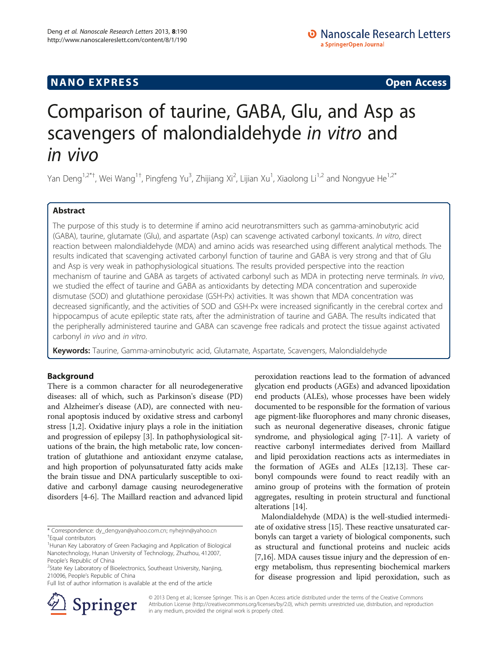# **NANO EXPRESS** Open Access and the set of the set of the set of the set of the set of the set of the set of the set of the set of the set of the set of the set of the set of the set of the set of the set of the set of the

# Comparison of taurine, GABA, Glu, and Asp as scavengers of malondialdehyde in vitro and in vivo

Yan Deng<sup>1,2\*†</sup>, Wei Wang<sup>1†</sup>, Pingfeng Yu<sup>3</sup>, Zhijiang Xi<sup>2</sup>, Lijian Xu<sup>1</sup>, Xiaolong Li<sup>1,2</sup> and Nongyue He<sup>1,2\*</sup>

# Abstract

The purpose of this study is to determine if amino acid neurotransmitters such as gamma-aminobutyric acid (GABA), taurine, glutamate (Glu), and aspartate (Asp) can scavenge activated carbonyl toxicants. In vitro, direct reaction between malondialdehyde (MDA) and amino acids was researched using different analytical methods. The results indicated that scavenging activated carbonyl function of taurine and GABA is very strong and that of Glu and Asp is very weak in pathophysiological situations. The results provided perspective into the reaction mechanism of taurine and GABA as targets of activated carbonyl such as MDA in protecting nerve terminals. In vivo, we studied the effect of taurine and GABA as antioxidants by detecting MDA concentration and superoxide dismutase (SOD) and glutathione peroxidase (GSH-Px) activities. It was shown that MDA concentration was decreased significantly, and the activities of SOD and GSH-Px were increased significantly in the cerebral cortex and hippocampus of acute epileptic state rats, after the administration of taurine and GABA. The results indicated that the peripherally administered taurine and GABA can scavenge free radicals and protect the tissue against activated carbonyl in vivo and in vitro.

Keywords: Taurine, Gamma-aminobutyric acid, Glutamate, Aspartate, Scavengers, Malondialdehyde

# Background

There is a common character for all neurodegenerative diseases: all of which, such as Parkinson's disease (PD) and Alzheimer's disease (AD), are connected with neuronal apoptosis induced by oxidative stress and carbonyl stress [[1,2\]](#page-7-0). Oxidative injury plays a role in the initiation and progression of epilepsy [\[3](#page-7-0)]. In pathophysiological situations of the brain, the high metabolic rate, low concentration of glutathione and antioxidant enzyme catalase, and high proportion of polyunsaturated fatty acids make the brain tissue and DNA particularly susceptible to oxidative and carbonyl damage causing neurodegenerative disorders [[4-6](#page-7-0)]. The Maillard reaction and advanced lipid

\* Correspondence: [dy\\_dengyan@yahoo.com.cn](mailto:dy_dengyan@yahoo.com.cn); [nyhejnn@yahoo.cn](mailto:nyhejnn@yahoo.cn) † Equal contributors

<sup>1</sup>Hunan Key Laboratory of Green Packaging and Application of Biological Nanotechnology, Hunan University of Technology, Zhuzhou, 412007, People's Republic of China

<sup>2</sup>State Key Laboratory of Bioelectronics, Southeast University, Nanjing, 210096, People's Republic of China

Full list of author information is available at the end of the article



Malondialdehyde (MDA) is the well-studied intermediate of oxidative stress [[15](#page-7-0)]. These reactive unsaturated carbonyls can target a variety of biological components, such as structural and functional proteins and nucleic acids [[7,16](#page-7-0)]. MDA causes tissue injury and the depression of energy metabolism, thus representing biochemical markers for disease progression and lipid peroxidation, such as



© 2013 Deng et al.; licensee Springer. This is an Open Access article distributed under the terms of the Creative Commons Attribution License [\(http://creativecommons.org/licenses/by/2.0\)](http://creativecommons.org/licenses/by/2.0), which permits unrestricted use, distribution, and reproduction in any medium, provided the original work is properly cited.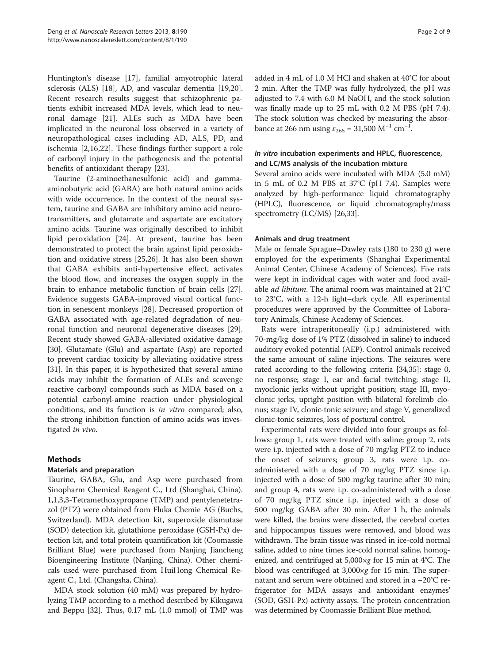Huntington's disease [[17](#page-7-0)], familial amyotrophic lateral sclerosis (ALS) [\[18\]](#page-7-0), AD, and vascular dementia [\[19,20](#page-7-0)]. Recent research results suggest that schizophrenic patients exhibit increased MDA levels, which lead to neuronal damage [\[21\]](#page-7-0). ALEs such as MDA have been implicated in the neuronal loss observed in a variety of neuropathological cases including AD, ALS, PD, and ischemia [\[2,16](#page-7-0),[22\]](#page-7-0). These findings further support a role of carbonyl injury in the pathogenesis and the potential benefits of antioxidant therapy [[23](#page-7-0)].

Taurine (2-aminoethanesulfonic acid) and gammaaminobutyric acid (GABA) are both natural amino acids with wide occurrence. In the context of the neural system, taurine and GABA are inhibitory amino acid neurotransmitters, and glutamate and aspartate are excitatory amino acids. Taurine was originally described to inhibit lipid peroxidation [\[24](#page-7-0)]. At present, taurine has been demonstrated to protect the brain against lipid peroxidation and oxidative stress [\[25,26](#page-7-0)]. It has also been shown that GABA exhibits anti-hypertensive effect, activates the blood flow, and increases the oxygen supply in the brain to enhance metabolic function of brain cells [\[27](#page-7-0)]. Evidence suggests GABA-improved visual cortical function in senescent monkeys [[28\]](#page-7-0). Decreased proportion of GABA associated with age-related degradation of neuronal function and neuronal degenerative diseases [\[29](#page-7-0)]. Recent study showed GABA-alleviated oxidative damage [[30\]](#page-7-0). Glutamate (Glu) and aspartate (Asp) are reported to prevent cardiac toxicity by alleviating oxidative stress [[31\]](#page-7-0). In this paper, it is hypothesized that several amino acids may inhibit the formation of ALEs and scavenge reactive carbonyl compounds such as MDA based on a potential carbonyl-amine reaction under physiological conditions, and its function is in vitro compared; also, the strong inhibition function of amino acids was investigated in vivo.

# Methods

# Materials and preparation

Taurine, GABA, Glu, and Asp were purchased from Sinopharm Chemical Reagent C., Ltd (Shanghai, China). 1,1,3,3-Tetramethoxypropane (TMP) and pentylenetetrazol (PTZ) were obtained from Fluka Chemie AG (Buchs, Switzerland). MDA detection kit, superoxide dismutase (SOD) detection kit, glutathione peroxidase (GSH-Px) detection kit, and total protein quantification kit (Coomassie Brilliant Blue) were purchased from Nanjing Jiancheng Bioengineering Institute (Nanjing, China). Other chemicals used were purchased from HuiHong Chemical Reagent C., Ltd. (Changsha, China).

MDA stock solution (40 mM) was prepared by hydrolyzing TMP according to a method described by Kikugawa and Beppu [[32](#page-7-0)]. Thus, 0.17 mL (1.0 mmol) of TMP was added in 4 mL of 1.0 M HCl and shaken at 40°C for about 2 min. After the TMP was fully hydrolyzed, the pH was adjusted to 7.4 with 6.0 M NaOH, and the stock solution was finally made up to 25 mL with 0.2 M PBS (pH 7.4). The stock solution was checked by measuring the absorbance at 266 nm using  $\varepsilon_{266} = 31{,}500 \text{ M}^{-1} \text{ cm}^{-1}$ .

# In vitro incubation experiments and HPLC, fluorescence, and LC/MS analysis of the incubation mixture

Several amino acids were incubated with MDA (5.0 mM) in 5 mL of 0.2 M PBS at 37°C (pH 7.4). Samples were analyzed by high-performance liquid chromatography (HPLC), fluorescence, or liquid chromatography/mass spectrometry (LC/MS) [[26](#page-7-0),[33](#page-7-0)].

# Animals and drug treatment

Male or female Sprague–Dawley rats (180 to 230 g) were employed for the experiments (Shanghai Experimental Animal Center, Chinese Academy of Sciences). Five rats were kept in individual cages with water and food available *ad libitum*. The animal room was maintained at 21°C to 23°C, with a 12-h light–dark cycle. All experimental procedures were approved by the Committee of Laboratory Animals, Chinese Academy of Sciences.

Rats were intraperitoneally (i.p.) administered with 70-mg/kg dose of 1% PTZ (dissolved in saline) to induced auditory evoked potential (AEP). Control animals received the same amount of saline injections. The seizures were rated according to the following criteria [\[34,35](#page-8-0)]: stage 0, no response; stage I, ear and facial twitching; stage II, myoclonic jerks without upright position; stage III, myoclonic jerks, upright position with bilateral forelimb clonus; stage IV, clonic-tonic seizure; and stage V, generalized clonic-tonic seizures, loss of postural control.

Experimental rats were divided into four groups as follows: group 1, rats were treated with saline; group 2, rats were i.p. injected with a dose of 70 mg/kg PTZ to induce the onset of seizures; group 3, rats were i.p. coadministered with a dose of 70 mg/kg PTZ since i.p. injected with a dose of 500 mg/kg taurine after 30 min; and group 4, rats were i.p. co-administered with a dose of 70 mg/kg PTZ since i.p. injected with a dose of 500 mg/kg GABA after 30 min. After 1 h, the animals were killed, the brains were dissected, the cerebral cortex and hippocampus tissues were removed, and blood was withdrawn. The brain tissue was rinsed in ice-cold normal saline, added to nine times ice-cold normal saline, homogenized, and centrifuged at 5,000×g for 15 min at 4°C. The blood was centrifuged at 3,000×g for 15 min. The supernatant and serum were obtained and stored in a −20°C refrigerator for MDA assays and antioxidant enzymes' (SOD, GSH-Px) activity assays. The protein concentration was determined by Coomassie Brilliant Blue method.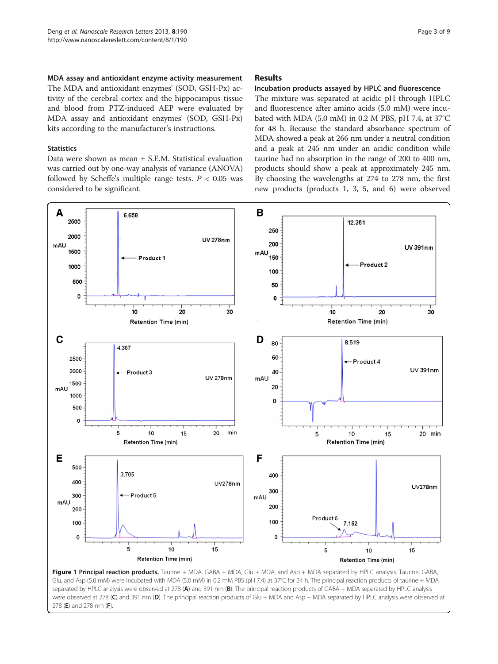<span id="page-2-0"></span>MDA assay and antioxidant enzyme activity measurement The MDA and antioxidant enzymes' (SOD, GSH-Px) activity of the cerebral cortex and the hippocampus tissue and blood from PTZ-induced AEP were evaluated by MDA assay and antioxidant enzymes' (SOD, GSH-Px) kits according to the manufacturer's instructions.

# **Statistics**

Data were shown as mean ± S.E.M. Statistical evaluation was carried out by one-way analysis of variance (ANOVA) followed by Scheffe's multiple range tests.  $P < 0.05$  was considered to be significant.

# Results

# Incubation products assayed by HPLC and fluorescence

The mixture was separated at acidic pH through HPLC and fluorescence after amino acids (5.0 mM) were incubated with MDA (5.0 mM) in 0.2 M PBS, pH 7.4, at 37°C for 48 h. Because the standard absorbance spectrum of MDA showed a peak at 266 nm under a neutral condition and a peak at 245 nm under an acidic condition while taurine had no absorption in the range of 200 to 400 nm, products should show a peak at approximately 245 nm. By choosing the wavelengths at 274 to 278 nm, the first new products (products 1, 3, 5, and 6) were observed



Figure 1 Principal reaction products. Taurine + MDA, GABA + MDA, Glu + MDA, and Asp + MDA separated by HPLC analysis. Taurine, GABA, Glu, and Asp (5.0 mM) were incubated with MDA (5.0 mM) in 0.2 mM PBS (pH 7.4) at 37°C for 24 h. The principal reaction products of taurine + MDA separated by HPLC analysis were observed at 278 (A) and 391 nm (B). The principal reaction products of GABA + MDA separated by HPLC analysis were observed at 278 (C) and 391 nm (D). The principal reaction products of Glu + MDA and Asp + MDA separated by HPLC analysis were observed at 278 (E) and 278 nm (F).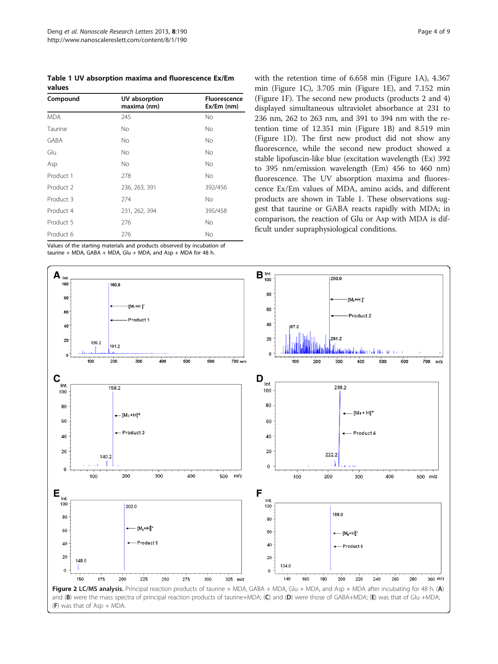<span id="page-3-0"></span>Table 1 UV absorption maxima and fluorescence Ex/Em values

| Compound             | UV absorption<br>maxima (nm) | <b>Fluorescence</b><br>$Ex/Em$ (nm) |
|----------------------|------------------------------|-------------------------------------|
| <b>MDA</b>           | 245                          | No                                  |
| Taurine              | <b>No</b>                    | No.                                 |
| <b>GABA</b>          | <b>No</b>                    | No.                                 |
| Glu                  | <b>No</b>                    | No.                                 |
| Asp                  | <b>No</b>                    | No.                                 |
| Product 1            | 278                          | No.                                 |
| Product <sub>2</sub> | 236, 263, 391                | 392/456                             |
| Product 3            | 274                          | No                                  |
| Product 4            | 231, 262, 394                | 395/458                             |
| Product 5            | 276                          | No                                  |
| Product 6            | 276                          | No                                  |

Values of the starting materials and products observed by incubation of taurine + MDA, GABA + MDA, Glu + MDA, and Asp + MDA for 48 h.

with the retention time of 6.658 min (Figure [1](#page-2-0)A), 4.367 min (Figure [1C](#page-2-0)), 3.705 min (Figure [1E](#page-2-0)), and 7.152 min (Figure [1](#page-2-0)F). The second new products (products 2 and 4) displayed simultaneous ultraviolet absorbance at 231 to 236 nm, 262 to 263 nm, and 391 to 394 nm with the retention time of 12.351 min (Figure [1](#page-2-0)B) and 8.519 min (Figure [1](#page-2-0)D). The first new product did not show any fluorescence, while the second new product showed a stable lipofuscin-like blue (excitation wavelength (Ex) 392 to 395 nm/emission wavelength (Em) 456 to 460 nm) fluorescence. The UV absorption maxima and fluorescence Ex/Em values of MDA, amino acids, and different products are shown in Table 1. These observations suggest that taurine or GABA reacts rapidly with MDA; in comparison, the reaction of Glu or Asp with MDA is difficult under supraphysiological conditions.

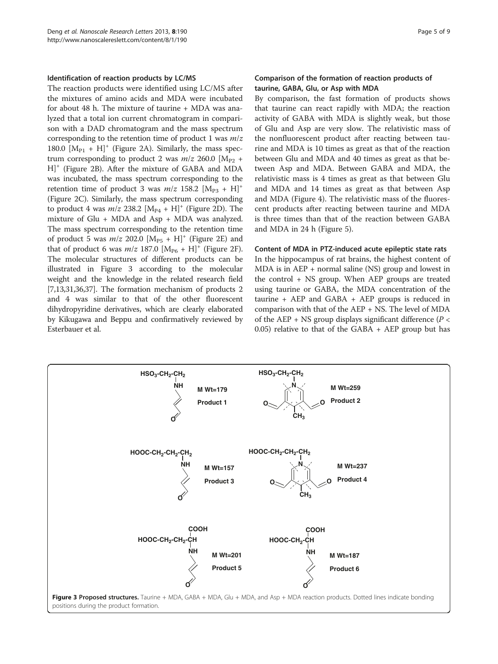#### <span id="page-4-0"></span>Identification of reaction products by LC/MS

The reaction products were identified using LC/MS after the mixtures of amino acids and MDA were incubated for about 48 h. The mixture of taurine + MDA was analyzed that a total ion current chromatogram in comparison with a DAD chromatogram and the mass spectrum corresponding to the retention time of product 1 was  $m/z$ 180.0  $[M_{P1} + H]^+$  (Figure [2A](#page-3-0)). Similarly, the mass spectrum corresponding to product 2 was  $m/z$  260.0  $[M_{P2}$  + H]+ (Figure [2](#page-3-0)B). After the mixture of GABA and MDA was incubated, the mass spectrum corresponding to the retention time of product 3 was  $m/z$  158.2  $[M_{p_3} + H]^+$ (Figure [2C](#page-3-0)). Similarly, the mass spectrum corresponding to product 4 was  $m/z$  [2](#page-3-0)38.2  $[M_{P4} + H]^+$  (Figure 2D). The mixture of Glu + MDA and Asp + MDA was analyzed. The mass spectrum corresponding to the retention time of product 5 was  $m/z$  [2](#page-3-0)02.0  $[M_{\text{PS}} + H]^+$  (Figure 2E) and that of product 6 was  $m/z$  187.0  $[M_{P6} + H]^+$  (Figure [2](#page-3-0)F). The molecular structures of different products can be illustrated in Figure 3 according to the molecular weight and the knowledge in the related research field [[7,13,31](#page-7-0)[,36,37](#page-8-0)]. The formation mechanism of products 2 and 4 was similar to that of the other fluorescent dihydropyridine derivatives, which are clearly elaborated by Kikugawa and Beppu and confirmatively reviewed by Esterbauer et al.

# Comparison of the formation of reaction products of taurine, GABA, Glu, or Asp with MDA

By comparison, the fast formation of products shows that taurine can react rapidly with MDA; the reaction activity of GABA with MDA is slightly weak, but those of Glu and Asp are very slow. The relativistic mass of the nonfluorescent product after reacting between taurine and MDA is 10 times as great as that of the reaction between Glu and MDA and 40 times as great as that between Asp and MDA. Between GABA and MDA, the relativistic mass is 4 times as great as that between Glu and MDA and 14 times as great as that between Asp and MDA (Figure [4](#page-5-0)). The relativistic mass of the fluorescent products after reacting between taurine and MDA is three times than that of the reaction between GABA and MDA in 24 h (Figure [5](#page-5-0)).

#### Content of MDA in PTZ-induced acute epileptic state rats

In the hippocampus of rat brains, the highest content of MDA is in AEP + normal saline (NS) group and lowest in the control + NS group. When AEP groups are treated using taurine or GABA, the MDA concentration of the taurine  $+$  AEP and GABA  $+$  AEP groups is reduced in comparison with that of the AEP + NS. The level of MDA of the AEP + NS group displays significant difference ( $P <$ 0.05) relative to that of the GABA + AEP group but has

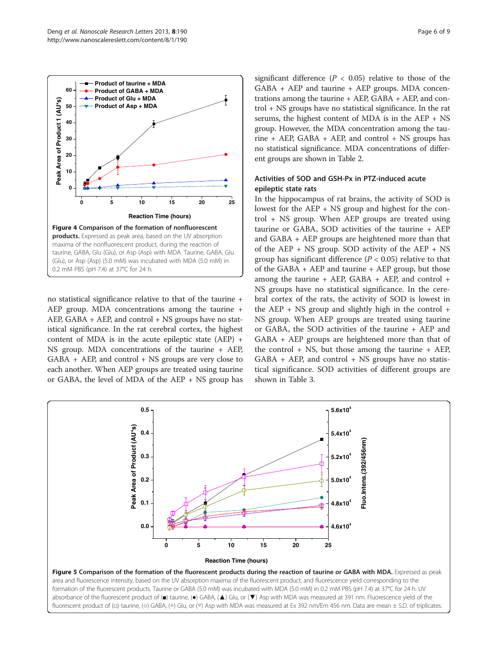<span id="page-5-0"></span>

no statistical significance relative to that of the taurine + AEP group. MDA concentrations among the taurine + AEP, GABA + AEP, and control + NS groups have no statistical significance. In the rat cerebral cortex, the highest content of MDA is in the acute epileptic state (AEP) + NS group. MDA concentrations of the taurine + AEP, GABA + AEP, and control + NS groups are very close to each another. When AEP groups are treated using taurine or GABA, the level of MDA of the AEP + NS group has

significant difference ( $P < 0.05$ ) relative to those of the GABA + AEP and taurine + AEP groups. MDA concentrations among the taurine + AEP, GABA + AEP, and control + NS groups have no statistical significance. In the rat serums, the highest content of MDA is in the AEP + NS group. However, the MDA concentration among the taurine + AEP, GABA + AEP, and control + NS groups has no statistical significance. MDA concentrations of different groups are shown in Table [2.](#page-6-0)

# Activities of SOD and GSH-Px in PTZ-induced acute epileptic state rats

In the hippocampus of rat brains, the activity of SOD is lowest for the AEP + NS group and highest for the control + NS group. When AEP groups are treated using taurine or GABA, SOD activities of the taurine + AEP and GABA + AEP groups are heightened more than that of the AEP + NS group. SOD activity of the AEP + NS group has significant difference ( $P < 0.05$ ) relative to that of the GABA + AEP and taurine + AEP group, but those among the taurine  $+$  AEP, GABA  $+$  AEP, and control  $+$ NS groups have no statistical significance. In the cerebral cortex of the rats, the activity of SOD is lowest in the AEP + NS group and slightly high in the control + NS group. When AEP groups are treated using taurine or GABA, the SOD activities of the taurine + AEP and GABA + AEP groups are heightened more than that of the control  $+$  NS, but those among the taurine  $+$  AEP,  $GABA + AEP$ , and control  $+ NS$  groups have no statistical significance. SOD activities of different groups are shown in Table [3.](#page-6-0)

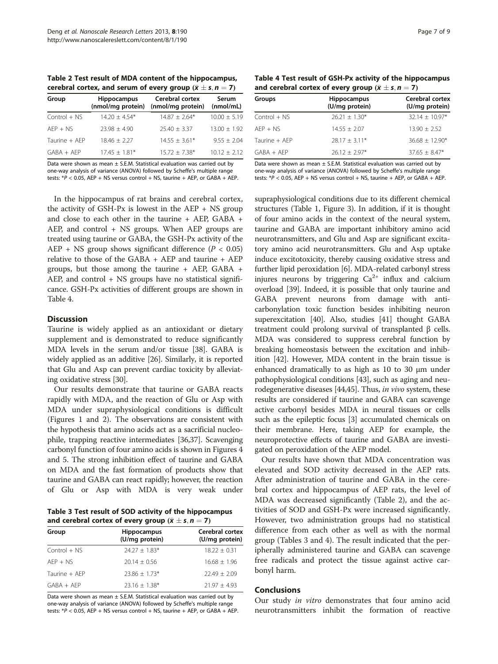<span id="page-6-0"></span>Table 2 Test result of MDA content of the hippocampus, cerebral cortex, and serum of every group  $(\bar{x} \pm s, n = 7)$ 

| Group          | <b>Hippocampus</b><br>(nmol/mg protein) | Cerebral cortex<br>(nmol/mg protein) | Serum<br>(mmol/mL) |
|----------------|-----------------------------------------|--------------------------------------|--------------------|
| $Control + NS$ | $14.20 + 4.54*$                         | $14.87 + 2.64*$                      | $10.00 \pm 5.19$   |
| $AEP + NS$     | $73.98 + 4.90$                          | $25.40 + 3.37$                       | $13.00 \pm 1.92$   |
| Taurine + AEP  | $18.46 + 2.27$                          | $14.55 + 3.61*$                      | $9.55 \pm 2.04$    |
| $GABA + AEP$   | $17.45 + 1.81*$                         | $15.72 + 7.38*$                      | $10.12 + 2.12$     |

Data were shown as mean  $\pm$  S.E.M. Statistical evaluation was carried out by one-way analysis of variance (ANOVA) followed by Scheffe's multiple range tests:  $*P < 0.05$ , AEP + NS versus control + NS, taurine + AEP, or GABA + AEP.

In the hippocampus of rat brains and cerebral cortex, the activity of GSH-Px is lowest in the AEP + NS group and close to each other in the taurine + AEP, GABA + AEP, and control + NS groups. When AEP groups are treated using taurine or GABA, the GSH-Px activity of the AEP + NS group shows significant difference  $(P < 0.05)$ relative to those of the GABA + AEP and taurine + AEP groups, but those among the taurine + AEP, GABA + AEP, and control + NS groups have no statistical significance. GSH-Px activities of different groups are shown in Table 4.

### **Discussion**

Taurine is widely applied as an antioxidant or dietary supplement and is demonstrated to reduce significantly MDA levels in the serum and/or tissue [\[38\]](#page-8-0). GABA is widely applied as an additive [[26](#page-7-0)]. Similarly, it is reported that Glu and Asp can prevent cardiac toxicity by alleviating oxidative stress [[30\]](#page-7-0).

Our results demonstrate that taurine or GABA reacts rapidly with MDA, and the reaction of Glu or Asp with MDA under supraphysiological conditions is difficult (Figures [1](#page-2-0) and [2\)](#page-3-0). The observations are consistent with the hypothesis that amino acids act as a sacrificial nucleophile, trapping reactive intermediates [[36,37\]](#page-8-0). Scavenging carbonyl function of four amino acids is shown in Figures [4](#page-5-0) and [5](#page-5-0). The strong inhibition effect of taurine and GABA on MDA and the fast formation of products show that taurine and GABA can react rapidly; however, the reaction of Glu or Asp with MDA is very weak under

Table 3 Test result of SOD activity of the hippocampus and cerebral cortex of every group  $(\bar{x} \pm s, n = 7)$ 

| Group          | <b>Hippocampus</b><br>(U/mg protein) | Cerebral cortex<br>(U/mg protein) |
|----------------|--------------------------------------|-----------------------------------|
| $Control + NS$ | $24.27 \pm 1.83*$                    | $18.22 + 0.31$                    |
| $AFP + NS$     | $20.14 + 0.56$                       | $16.68 + 1.96$                    |
| Taurine + AFP  | $23.86 + 1.73*$                      | $72.49 + 2.09$                    |
| $GABA + AFP$   | $23.16 + 1.38*$                      | $71.97 + 4.93$                    |

Data were shown as mean  $\pm$  S.E.M. Statistical evaluation was carried out by one-way analysis of variance (ANOVA) followed by Scheffe's multiple range tests:  $*P < 0.05$ , AEP + NS versus control + NS, taurine + AEP, or GABA + AEP.

Table 4 Test result of GSH-Px activity of the hippocampus and cerebral cortex of every group  $(\bar{x} \pm s, n = 7)$ 

| Groups        | <b>Hippocampus</b><br>(U/mg protein) | Cerebral cortex<br>(U/mg protein) |  |
|---------------|--------------------------------------|-----------------------------------|--|
| Control + NS  | $26.21 + 1.30*$                      | $32.14 + 10.97*$                  |  |
| $AFP + NS$    | $14.55 + 2.07$                       | $13.90 + 2.52$                    |  |
| Taurine + AFP | $28.17 + 3.11*$                      | $36.68 + 12.90*$                  |  |
| $GABA + AFP$  | $26.12 + 2.97*$                      | $37.65 + 8.47*$                   |  |

Data were shown as mean  $\pm$  S.E.M. Statistical evaluation was carried out by one-way analysis of variance (ANOVA) followed by Scheffe's multiple range tests:  $*P < 0.05$ , AEP + NS versus control + NS, taurine + AEP, or GABA + AEP.

supraphysiological conditions due to its different chemical structures (Table [1](#page-3-0), Figure [3](#page-4-0)). In addition, if it is thought of four amino acids in the context of the neural system, taurine and GABA are important inhibitory amino acid neurotransmitters, and Glu and Asp are significant excitatory amino acid neurotransmitters. Glu and Asp uptake induce excitotoxicity, thereby causing oxidative stress and further lipid peroxidation [\[6](#page-7-0)]. MDA-related carbonyl stress injures neurons by triggering  $Ca^{2+}$  influx and calcium overload [[39](#page-8-0)]. Indeed, it is possible that only taurine and GABA prevent neurons from damage with anticarbonylation toxic function besides inhibiting neuron superexcitation [\[40\]](#page-8-0). Also, studies [\[41](#page-8-0)] thought GABA treatment could prolong survival of transplanted β cells. MDA was considered to suppress cerebral function by breaking homeostasis between the excitation and inhibition [\[42\]](#page-8-0). However, MDA content in the brain tissue is enhanced dramatically to as high as 10 to 30 μm under pathophysiological conditions [\[43\]](#page-8-0), such as aging and neurodegenerative diseases [\[44,45](#page-8-0)]. Thus, in vivo system, these results are considered if taurine and GABA can scavenge active carbonyl besides MDA in neural tissues or cells such as the epileptic focus [[3](#page-7-0)] accumulated chemicals on their membrane. Here, taking AEP for example, the neuroprotective effects of taurine and GABA are investigated on peroxidation of the AEP model.

Our results have shown that MDA concentration was elevated and SOD activity decreased in the AEP rats. After administration of taurine and GABA in the cerebral cortex and hippocampus of AEP rats, the level of MDA was decreased significantly (Table 2), and the activities of SOD and GSH-Px were increased significantly. However, two administration groups had no statistical difference from each other as well as with the normal group (Tables 3 and 4). The result indicated that the peripherally administered taurine and GABA can scavenge free radicals and protect the tissue against active carbonyl harm.

#### Conclusions

Our study in vitro demonstrates that four amino acid neurotransmitters inhibit the formation of reactive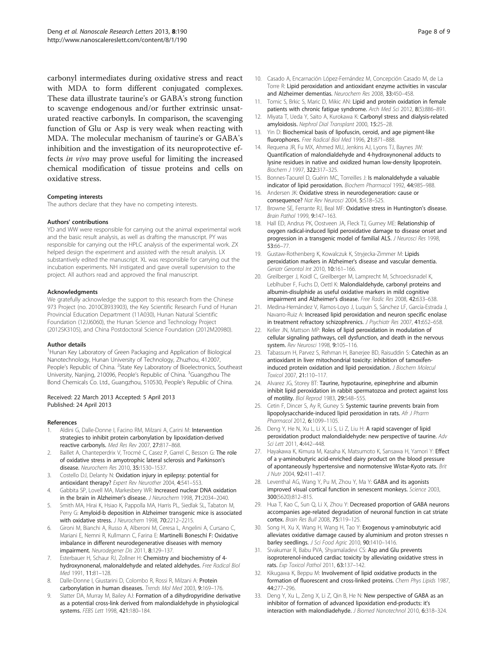<span id="page-7-0"></span>carbonyl intermediates during oxidative stress and react with MDA to form different conjugated complexes. These data illustrate taurine's or GABA's strong function to scavenge endogenous and/or further extrinsic unsaturated reactive carbonyls. In comparison, the scavenging function of Glu or Asp is very weak when reacting with MDA. The molecular mechanism of taurine's or GABA's inhibition and the investigation of its neuroprotective effects in vivo may prove useful for limiting the increased chemical modification of tissue proteins and cells on oxidative stress.

#### Competing interests

The authors declare that they have no competing interests.

#### Authors' contributions

YD and WW were responsible for carrying out the animal experimental work and the basic result analysis, as well as drafting the manuscript. PY was responsible for carrying out the HPLC analysis of the experimental work. ZX helped design the experiment and assisted with the result analysis. LX substantively edited the manuscript. XL was responsible for carrying out the incubation experiments. NH instigated and gave overall supervision to the project. All authors read and approved the final manuscript.

#### Acknowledgments

We gratefully acknowledge the support to this research from the Chinese 973 Project (no. 2010CB933903), the Key Scientific Research Fund of Hunan Provincial Education Department (11A030), Hunan Natural Scientific Foundation (12JJ6060), the Hunan Science and Technology Project (2012SK3105), and China Postdoctoral Science Foundation (2012M20980).

#### Author details

<sup>1</sup>Hunan Key Laboratory of Green Packaging and Application of Biological Nanotechnology, Hunan University of Technology, Zhuzhou, 412007, People's Republic of China. <sup>2</sup>State Key Laboratory of Bioelectronics, Southeast University, Nanjing, 210096, People's Republic of China. <sup>3</sup>Guangzhou The Bond Chemicals Co. Ltd., Guangzhou, 510530, People's Republic of China.

#### Received: 22 March 2013 Accepted: 5 April 2013 Published: 24 April 2013

#### References

- 1. Aldini G, Dalle-Donne I, Facino RM, Milzani A, Carini M: Intervention strategies to inhibit protein carbonylation by lipoxidation-derived reactive carbonyls. Med Res Rev 2007, 27:817–868.
- 2. Baillet A, Chanteperdrix V, Trocmé C, Casez P, Garrel C, Besson G: The role of oxidative stress in amyotrophic lateral sclerosis and Parkinson's disease. Neurochem Res 2010, 35:1530–1537.
- 3. Costello DJ, Delanty N: Oxidation injury in epilepsy: potential for antioxidant therapy? Expert Rev Neurother 2004, 4:541-553.
- 4. Gabbita SP, Lovell MA, Markesbery WR: Increased nuclear DNA oxidation in the brain in Alzheimer's disease. J Neurochem 1998, 71:2034–2040.
- 5. Smith MA, Hirai K, Hsiao K, Pappolla MA, Harris PL, Siedlak SL, Tabaton M, Perry G: Amyloid-b deposition in Alzheimer transgenic mice is associated with oxidative stress. J Neurochem 1998, 70:2212–2215.
- 6. Gironi M, Bianchi A, Russo A, Alberoni M, Ceresa L, Angelini A, Cursano C, Mariani E, Nemni R, Kullmann C, Farina E: Martinelli Boneschi F: Oxidative imbalance in different neurodegenerative diseases with memory impairment. Neurodegener Dis 2011, 8:129–137.
- 7. Esterbauer H, Schaur RJ, Zollner H: Chemistry and biochemistry of 4hydroxynonenal, malonaldehyde and related aldehydes. Free Radical Biol Med 1991, 11:81–128.
- 8. Dalle-Donne I, Giustarini D, Colombo R, Rossi R, Milzani A: Protein carbonylation in human diseases. Trends Mol Med 2003, 9:169–176.
- 9. Slatter DA, Murray M, Bailey AJ: Formation of a dihydropyridine derivative as a potential cross-link derived from malondialdehyde in physiological systems. FEBS Lett 1998, 421:180–184.
- 10. Casado A, Encarnación López-Fernández M, Concepción Casado M, de La Torre R: Lipid peroxidation and antioxidant enzyme activities in vascular and Alzheimer dementias. Neurochem Res 2008, 33:450–458.
- 11. Tomic S, Brkic S, Maric D, Mikic AN: Lipid and protein oxidation in female patients with chronic fatigue syndrome. Arch Med Sci 2012, 8(5):886-891.
- 12. Miyata T, Ueda Y, Saito A, Kurokawa K: Carbonyl stress and dialysis-related amyloidosis. Nephrol Dial Transplant 2000, 15:25–28.
- 13. Yin D: Biochemical basis of lipofuscin, ceroid, and age pigment-like fluorophores. Free Radical Biol Med 1996, 21:871–888.
- 14. Requena JR, Fu MX, Ahmed MU, Jenkins AJ, Lyons TJ, Baynes JW: Quantification of malondialdehyde and 4-hydroxynonenal adducts to lysine residues in native and oxidized human low-density lipoprotein. Biochem J 1997, 322:317–325.
- 15. Bonnes-Taourel D, Guérin MC, Torreilles J: Is malonaldehyde a valuable indicator of lipid peroxidation. Biochem Pharmacol 1992, 44:985–988.
- 16. Andersen JK: Oxidative stress in neurodegeneration: cause or consequence? Nat Rev Neurosci 2004, 5:S18–S25.
- 17. Browne SE, Ferrante RJ, Beal MF: Oxidative stress in Huntington's disease. Brain Pathol 1999, 9:147–163.
- 18. Hall ED, Andrus PK, Oostveen JA, Fleck TJ, Gurney ME: Relationship of oxygen radical-induced lipid peroxidative damage to disease onset and progression in a transgenic model of familial ALS. J Neurosci Res 1998, 53:66–77.
- 19. Gustaw-Rothenberg K, Kowalczuk K, Stryjecka-Zimmer M: Lipids peroxidation markers in Alzheimer's disease and vascular dementia. Geriatr Gerontol Int 2010, 10:161–166.
- 20. Greilberger J, Koidl C, Greilberger M, Lamprecht M, Schroecksnadel K, Leblhuber F, Fuchs D, Oettl K: Malondialdehyde, carbonyl proteins and albumin-disulphide as useful oxidative markers in mild cognitive impairment and Alzheimer's disease. Free Radic Res 2008, 42:633–638.
- 21. Medina-Hernández V, Ramos-Loyo J, Luquin S, Sánchez LF, García-Estrada J, Navarro-Ruiz A: Increased lipid peroxidation and neuron specific enolase in treatment refractory schizophrenics. J Psychiatr Res 2007, 41:652-658.
- 22. Keller JN, Mattson MP: Roles of lipid peroxidation in modulation of cellular signaling pathways, cell dysfunction, and death in the nervous system. Rev Neurosci 1998, 9:105-116.
- 23. Tabassum H, Parvez S, Rehman H, Banerjee BD, Raisuddin S: Catechin as an antioxidant in liver mitochondrial toxicity: inhibition of tamoxifeninduced protein oxidation and lipid peroxidation. J Biochem Molecul Toxicol 2007, 21:110–117.
- 24. Alvarez JG, Storey BT: Taurine, hypotaurine, epinephrine and albumin inhibit lipid peroxidation in rabbit spermatozoa and protect against loss of motility. Biol Reprod 1983, 29:548–555.
- 25. Cetin F, Dincer S, Ay R, Guney S: Systemic taurine prevents brain from lipopolysaccharide-induced lipid peroxidation in rats. Afr J Pharm Pharmacol 2012, 6:1099–1105.
- 26. Deng Y, He N, Xu L, Li X, Li S, Li Z, Liu H: A rapid scavenger of lipid peroxidation product malondialdehyde: new perspective of taurine. Adv Sci Lett 2011, 4:442–448.
- 27. Hayakawa K, Kimura M, Kasaha K, Matsumoto K, Sansawa H, Yamori Y: Effect of a γ-aminobutyric acid-enriched dairy product on the blood pressure of apontaneously hypertensive and normotensive Wistar-Kyoto rats. Brit J Nutr 2004, 92:411–417.
- 28. Leventhal AG, Wang Y, Pu M, Zhou Y, Ma Y: GABA and its agonists improved visual cortical function in senescent monkeys. Science 2003, 300(5620):812–815.
- 29. Hua T, Kao C, Sun Q, Li X, Zhou Y: Decreased proportion of GABA neurons accompanies age-related degradation of neuronal function in cat striate cortex. Brain Res Bull 2008, 75:119–125.
- 30. Song H, Xu X, Wang H, Wang H, Tao Y: Exogenous γ-aminobutyric acid alleviates oxidative damage caused by aluminium and proton stresses n barley seedlings. J Sci Food Agric 2010, 90:1410–1416.
- 31. Sivakumar R, Babu PVA, Shyamaladevi CS: Asp and Glu prevents isoproterenol-induced cardiac toxicity by alleviating oxidative stress in rats. Exp Toxicol Pathol 2011, 63:137–142.
- 32. Kikugawa K, Beppu M: Involvement of lipid oxidative products in the formation of fluorescent and cross-linked proteins. Chem Phys Lipids 1987, 44:277–296.
- 33. Deng Y, Xu L, Zeng X, Li Z, Qin B, He N: New perspective of GABA as an inhibitor of formation of advanced lipoxidation end-products: it's interaction with malondiadehyde. J Biomed Nanotechnol 2010, 6:318–324.